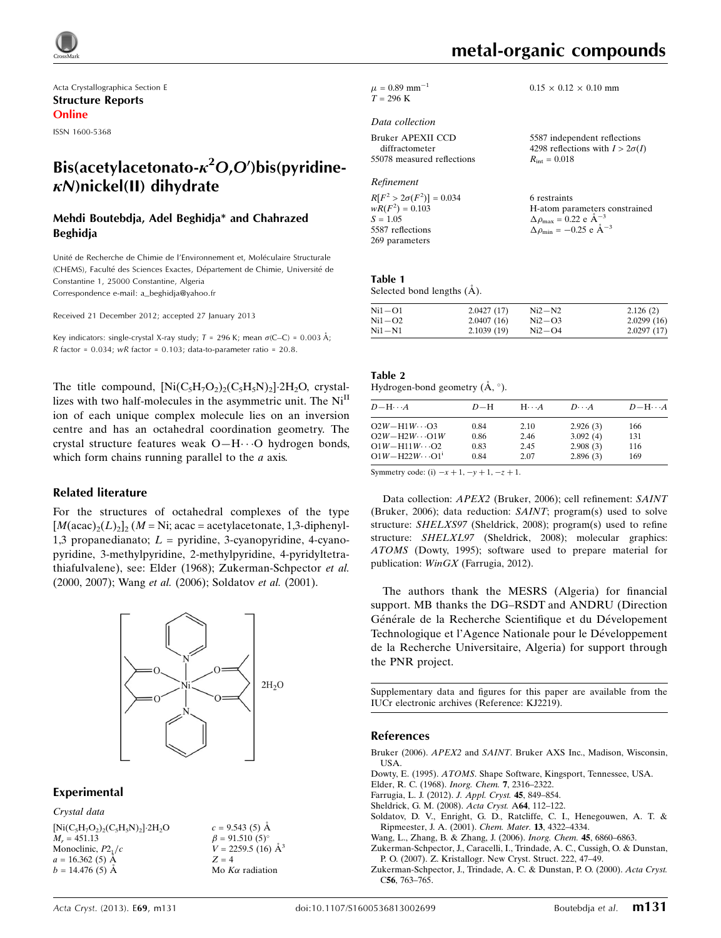

Acta Crystallographica Section E Structure Reports Online

ISSN 1600-5368

# Bis(acetylacetonato- $\kappa^2$ O,O')bis(pyridine- $\kappa$ N)nickel(II) dihydrate

### Mehdi Boutebdja, Adel Beghidja\* and Chahrazed Beghidja

Unité de Recherche de Chimie de l'Environnement et, Moléculaire Structurale (CHEMS), Faculté des Sciences Exactes, Département de Chimie, Université de Constantine 1, 25000 Constantine, Algeria Correspondence e-mail: [a\\_beghidja@yahoo.fr](https://scripts.iucr.org/cgi-bin/cr.cgi?rm=pdfbb&cnor=kj2219&bbid=BB9)

Received 21 December 2012; accepted 27 January 2013

Key indicators: single-crystal X-ray study;  $T = 296$  K; mean  $\sigma$ (C–C) = 0.003 Å; R factor =  $0.034$ ; wR factor =  $0.103$ ; data-to-parameter ratio =  $20.8$ .

The title compound,  $[Ni(C_5H_7O_2)_2(C_5H_5N)_2]$  2H<sub>2</sub>O, crystallizes with two half-molecules in the asymmetric unit. The  $Ni<sup>II</sup>$ ion of each unique complex molecule lies on an inversion centre and has an octahedral coordination geometry. The crystal structure features weak O-H···O hydrogen bonds, which form chains running parallel to the  $a$  axis.

### Related literature

For the structures of octahedral complexes of the type  $[M(\text{acac})_2(L)_2]_2$  (*M* = Ni; acac = acetylacetonate, 1,3-diphenyl-1,3 propanedianato;  $L =$  pyridine, 3-cyanopyridine, 4-cyanopyridine, 3-methylpyridine, 2-methylpyridine, 4-pyridyltetrathiafulvalene), see: Elder (1968); Zukerman-Schpector et al. (2000, 2007); Wang et al. (2006); Soldatov et al. (2001).



### Experimental

Crystal data  $[Ni(C_5H_7O_2)_2(C_5H_5N)_2]$  2H<sub>2</sub>O  $M_r = 451.13$ Monoclinic,  $P2<sub>1</sub>/c$  $a = 16.362(5)$  Å  $b = 14.476(5)$  Å

 $c = 9.543(5)$  Å  $\beta = 91.510(5)$ °  $V = 2259.5$  (16)  $\AA^3$  $Z = 4$ Mo  $K\alpha$  radiation

metal-organic compounds

 $\mu$  = 0.89 mm<sup>-1</sup>  $T = 296 \text{ K}$ 

### Data collection

| Bruker APEXII CCD          |  |
|----------------------------|--|
| diffractometer             |  |
| 55078 measured reflections |  |

#### Refinement

 $R[F^2 > 2\sigma(F^2)] = 0.034$  $wR(F^2) = 0.103$  $S = 1.05$ 5587 reflections 269 parameters

 $0.15 \times 0.12 \times 0.10$  mm

5587 independent reflections 4298 reflections with  $I > 2\sigma(I)$  $R_{\text{int}} = 0.018$ 

6 restraints H-atom parameters constrained  $\Delta \rho_{\text{max}} = 0.22 \text{ e } \text{\AA}^{-3}$  $\Delta \rho_{\text{min}} = -0.25$  e  $\AA^{-3}$ 

#### Table 1 Selected bond lengths  $(\AA)$ .

| $Ni1-O1$ | 2.0427(17) | $Ni2-N2$ | 2.126(2)   |
|----------|------------|----------|------------|
| $Ni1-O2$ | 2.0407(16) | $Ni2-O3$ | 2.0299(16) |
| $Ni1-N1$ | 2.1039(19) | $Ni2-O4$ | 2.0297(17) |

## Table 2

| Hydrogen-bond geometry $(A, \circ)$ . |  |  |
|---------------------------------------|--|--|

| $D - H \cdots A$           | $D-H$ | $H\cdots A$ | $D\cdots A$ | $D - H \cdots A$ |
|----------------------------|-------|-------------|-------------|------------------|
| $O2W - H1W \cdots O3$      | 0.84  | 2.10        | 2.926(3)    | 166              |
| $O2W - H2W \cdots O1W$     | 0.86  | 2.46        | 3.092(4)    | 131              |
| $O1W - H11W \cdots O2$     | 0.83  | 2.45        | 2.908(3)    | 116              |
| $O1W - H22W \cdots O1^{i}$ | 0.84  | 2.07        | 2.896(3)    | 169              |

Symmetry code: (i)  $-x + 1$ ,  $-y + 1$ ,  $-z + 1$ .

Data collection: APEX2 (Bruker, 2006); cell refinement: SAINT (Bruker, 2006); data reduction: SAINT; program(s) used to solve structure: SHELXS97 (Sheldrick, 2008); program(s) used to refine structure: SHELXL97 (Sheldrick, 2008); molecular graphics: ATOMS (Dowty, 1995); software used to prepare material for publication: WinGX (Farrugia, 2012).

The authors thank the MESRS (Algeria) for financial support. MB thanks the DG–RSDT and ANDRU (Direction Générale de la Recherche Scientifique et du Dévelopement Technologique et l'Agence Nationale pour le Développement de la Recherche Universitaire, Algeria) for support through the PNR project.

Supplementary data and figures for this paper are available from the IUCr electronic archives (Reference: KJ2219).

### References

- Bruker (2006). APEX2 and SAINT[. Bruker AXS Inc., Madison, Wisconsin,](https://scripts.iucr.org/cgi-bin/cr.cgi?rm=pdfbb&cnor=kj2219&bbid=BB1) [USA.](https://scripts.iucr.org/cgi-bin/cr.cgi?rm=pdfbb&cnor=kj2219&bbid=BB1)
- Dowty, E. (1995). ATOMS[. Shape Software, Kingsport, Tennessee, USA.](https://scripts.iucr.org/cgi-bin/cr.cgi?rm=pdfbb&cnor=kj2219&bbid=BB2)
- [Elder, R. C. \(1968\).](https://scripts.iucr.org/cgi-bin/cr.cgi?rm=pdfbb&cnor=kj2219&bbid=BB3) Inorg. Chem. 7, 2316–2322.
- [Farrugia, L. J. \(2012\).](https://scripts.iucr.org/cgi-bin/cr.cgi?rm=pdfbb&cnor=kj2219&bbid=BB4) J. Appl. Cryst. 45, 849–854.
- [Sheldrick, G. M. \(2008\).](https://scripts.iucr.org/cgi-bin/cr.cgi?rm=pdfbb&cnor=kj2219&bbid=BB5) Acta Cryst. A64, 112–122.
- [Soldatov, D. V., Enright, G. D., Ratcliffe, C. I., Henegouwen, A. T. &](https://scripts.iucr.org/cgi-bin/cr.cgi?rm=pdfbb&cnor=kj2219&bbid=BB6) [Ripmeester, J. A. \(2001\).](https://scripts.iucr.org/cgi-bin/cr.cgi?rm=pdfbb&cnor=kj2219&bbid=BB6) Chem. Mater. 13, 4322–4334.
- [Wang, L., Zhang, B. & Zhang, J. \(2006\).](https://scripts.iucr.org/cgi-bin/cr.cgi?rm=pdfbb&cnor=kj2219&bbid=BB7) Inorg. Chem. 45, 6860–6863.
- [Zukerman-Schpector, J., Caracelli, I., Trindade, A. C., Cussigh, O. & Dunstan,](https://scripts.iucr.org/cgi-bin/cr.cgi?rm=pdfbb&cnor=kj2219&bbid=BB8) [P. O. \(2007\). Z. Kristallogr. New Cryst. Struct. 222, 47–49.](https://scripts.iucr.org/cgi-bin/cr.cgi?rm=pdfbb&cnor=kj2219&bbid=BB8)
- [Zukerman-Schpector, J., Trindade, A. C. & Dunstan, P. O. \(2000\).](https://scripts.iucr.org/cgi-bin/cr.cgi?rm=pdfbb&cnor=kj2219&bbid=BB9) Acta Cryst. C56[, 763–765.](https://scripts.iucr.org/cgi-bin/cr.cgi?rm=pdfbb&cnor=kj2219&bbid=BB9)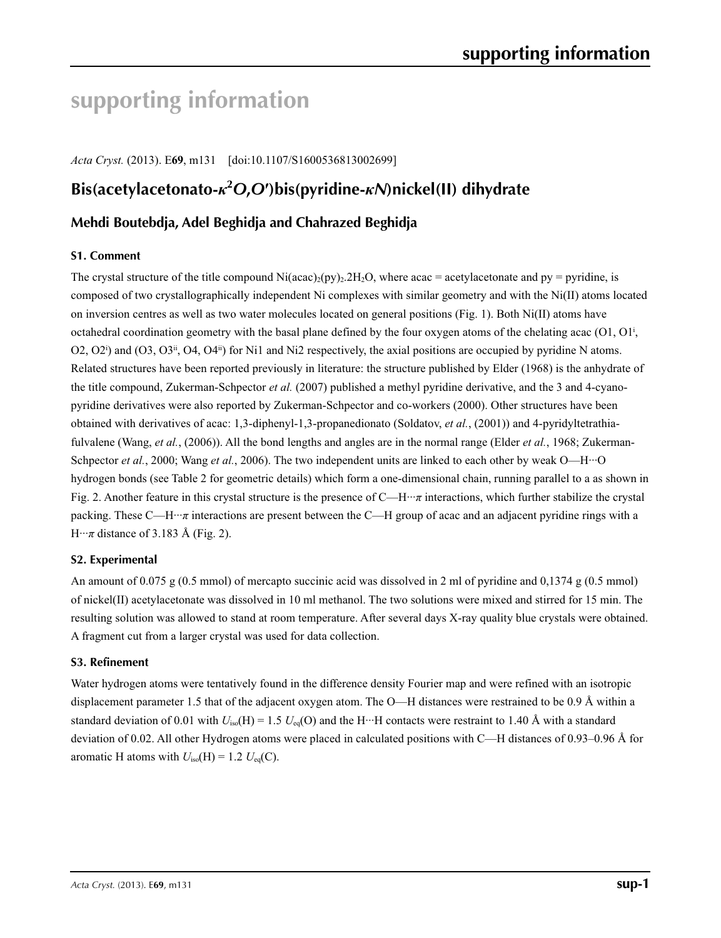# **supporting information**

*Acta Cryst.* (2013). E**69**, m131 [doi:10.1107/S1600536813002699]

# **Bis(acetylacetonato-***κ***<sup>2</sup>** *O***,***O***′)bis(pyridine-***κN***)nickel(II) dihydrate**

# **Mehdi Boutebdja, Adel Beghidja and Chahrazed Beghidja**

### **S1. Comment**

The crystal structure of the title compound Ni(acac)<sub>2</sub>(py)<sub>2</sub>.2H<sub>2</sub>O, where acac = acetylacetonate and py = pyridine, is composed of two crystallographically independent Ni complexes with similar geometry and with the Ni(II) atoms located on inversion centres as well as two water molecules located on general positions (Fig. 1). Both Ni(II) atoms have octahedral coordination geometry with the basal plane defined by the four oxygen atoms of the chelating acac  $(01, 01)$ ,  $O(2, O2^i)$  and  $(O3, O3^i, O4, O4^i)$  for Ni1 and Ni2 respectively, the axial positions are occupied by pyridine N atoms. Related structures have been reported previously in literature: the structure published by Elder (1968) is the anhydrate of the title compound, Zukerman-Schpector *et al.* (2007) published a methyl pyridine derivative, and the 3 and 4-cyanopyridine derivatives were also reported by Zukerman-Schpector and co-workers (2000). Other structures have been obtained with derivatives of acac: 1,3-diphenyl-1,3-propanedionato (Soldatov, *et al.*, (2001)) and 4-pyridyltetrathiafulvalene (Wang, *et al.*, (2006)). All the bond lengths and angles are in the normal range (Elder *et al.*, 1968; Zukerman-Schpector *et al.*, 2000; Wang *et al.*, 2006). The two independent units are linked to each other by weak O—H···O hydrogen bonds (see Table 2 for geometric details) which form a one-dimensional chain, running parallel to a as shown in Fig. 2. Another feature in this crystal structure is the presence of C—H···*π* interactions, which further stabilize the crystal packing. These C—H···*π* interactions are present between the C—H group of acac and an adjacent pyridine rings with a  $H \cdot \cdot \pi$  distance of 3.183 Å (Fig. 2).

### **S2. Experimental**

An amount of 0.075 g (0.5 mmol) of mercapto succinic acid was dissolved in 2 ml of pyridine and 0,1374 g (0.5 mmol) of nickel(II) acetylacetonate was dissolved in 10 ml methanol. The two solutions were mixed and stirred for 15 min. The resulting solution was allowed to stand at room temperature. After several days X-ray quality blue crystals were obtained. A fragment cut from a larger crystal was used for data collection.

### **S3. Refinement**

Water hydrogen atoms were tentatively found in the difference density Fourier map and were refined with an isotropic displacement parameter 1.5 that of the adjacent oxygen atom. The O—H distances were restrained to be 0.9 Å within a standard deviation of 0.01 with  $U_{iso}(H) = 1.5 U_{eq}(O)$  and the H···H contacts were restraint to 1.40 Å with a standard deviation of 0.02. All other Hydrogen atoms were placed in calculated positions with C—H distances of 0.93–0.96 Å for aromatic H atoms with  $U_{\text{iso}}(H) = 1.2 U_{\text{eq}}(C)$ .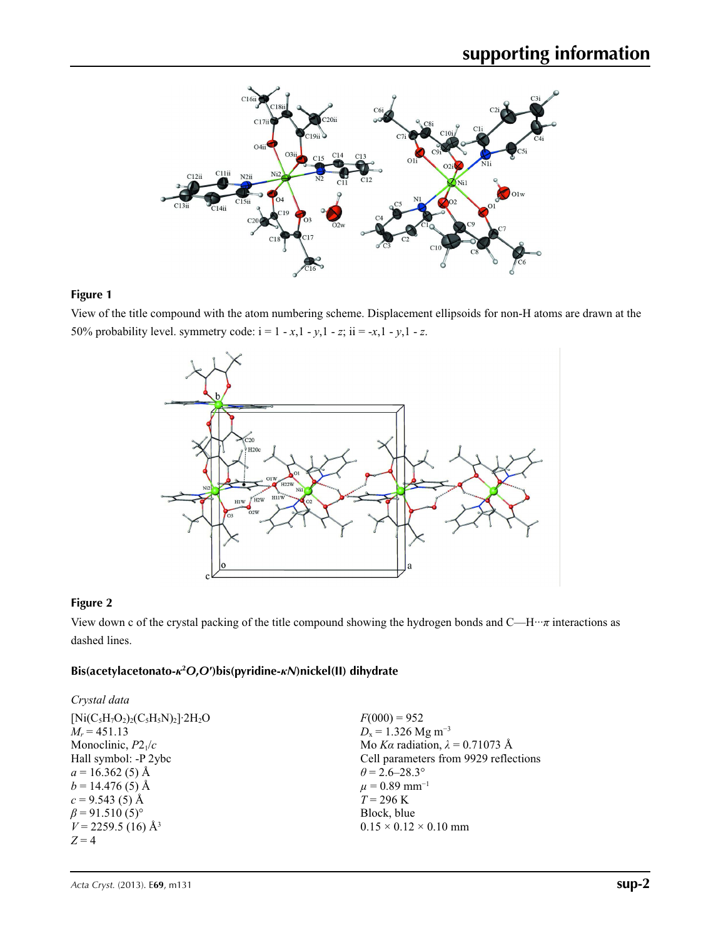

### **Figure 1**

View of the title compound with the atom numbering scheme. Displacement ellipsoids for non-H atoms are drawn at the 50% probability level. symmetry code:  $i = 1 - x, 1 - y, 1 - z$ ;  $ii = -x, 1 - y, 1 - z$ .



### **Figure 2**

View down c of the crystal packing of the title compound showing the hydrogen bonds and C—H···*π* interactions as dashed lines.

### **Bis(acetylacetonato-***κ***<sup>2</sup>** *O***,***O***′)bis(pyridine-***κN***)nickel(II) dihydrate**

| Crystal data                                     |                                        |
|--------------------------------------------------|----------------------------------------|
| $[Ni(C_5H_7O_2)_2(C_5H_5N)_2]$ 2H <sub>2</sub> O | $F(000) = 952$                         |
| $M_r = 451.13$                                   | $D_x = 1.326$ Mg m <sup>-3</sup>       |
| Monoclinic, $P2_1/c$                             | Mo Ka radiation, $\lambda = 0.71073$ Å |
| Hall symbol: -P 2ybc                             | Cell parameters from 9929 reflections  |
| $a = 16.362(5)$ Å                                | $\theta$ = 2.6–28.3°                   |
| $b = 14.476(5)$ Å                                | $\mu = 0.89$ mm <sup>-1</sup>          |
| $c = 9.543(5)$ Å                                 | $T = 296 \text{ K}$                    |
| $\beta$ = 91.510 (5) <sup>o</sup>                | Block, blue                            |
| $V = 2259.5$ (16) Å <sup>3</sup>                 | $0.15 \times 0.12 \times 0.10$ mm      |
| $Z=4$                                            |                                        |
|                                                  |                                        |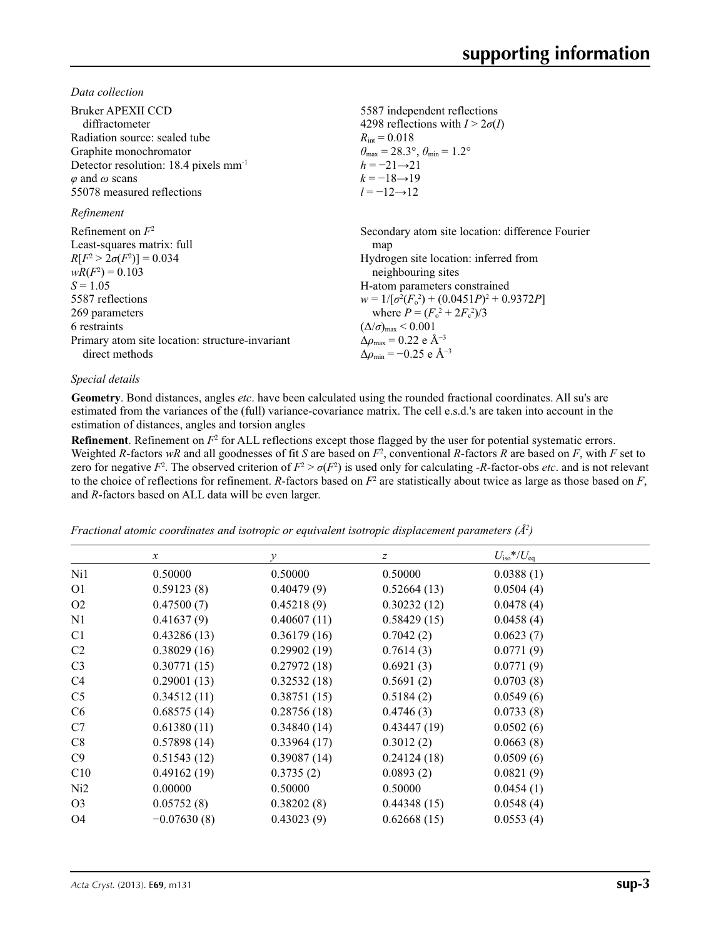*Data collection*

| Bruker APEXII CCD                                 | 5587 independent reflections                                            |
|---------------------------------------------------|-------------------------------------------------------------------------|
| diffractometer                                    | 4298 reflections with $I > 2\sigma(I)$                                  |
| Radiation source: sealed tube                     | $R_{\rm int} = 0.018$                                                   |
| Graphite monochromator                            | $\theta_{\text{max}} = 28.3^{\circ}, \theta_{\text{min}} = 1.2^{\circ}$ |
| Detector resolution: 18.4 pixels mm <sup>-1</sup> | $h = -21 \rightarrow 21$                                                |
| $\varphi$ and $\omega$ scans                      | $k = -18 \rightarrow 19$                                                |
| 55078 measured reflections                        | $l = -12 \rightarrow 12$                                                |
| Refinement                                        |                                                                         |
| Refinement on $F^2$                               | Secondary atom site location: difference Fourier                        |
| Least-squares matrix: full                        | map                                                                     |
| $R[F^2 > 2\sigma(F^2)] = 0.034$                   | Hydrogen site location: inferred from                                   |
| $wR(F^2) = 0.103$                                 | neighbouring sites                                                      |
| $S = 1.05$                                        | H-atom parameters constrained                                           |
| 5587 reflections                                  | $w = 1/[\sigma^2(F_0^2) + (0.0451P)^2 + 0.9372P]$                       |
| 269 parameters                                    | where $P = (F_o^2 + 2F_c^2)/3$                                          |
| 6 restraints                                      | $(\Delta/\sigma)_{\text{max}}$ < 0.001                                  |
| Primary atom site location: structure-invariant   | $\Delta\rho_{\rm max} = 0.22 \text{ e } \text{\AA}^{-3}$                |
| direct methods                                    | $\Delta\rho_{\rm min} = -0.25$ e Å <sup>-3</sup>                        |

### *Special details*

**Geometry**. Bond distances, angles *etc*. have been calculated using the rounded fractional coordinates. All su's are estimated from the variances of the (full) variance-covariance matrix. The cell e.s.d.'s are taken into account in the estimation of distances, angles and torsion angles

**Refinement**. Refinement on  $F^2$  for ALL reflections except those flagged by the user for potential systematic errors. Weighted *R*-factors  $wR$  and all goodnesses of fit *S* are based on  $F^2$ , conventional *R*-factors *R* are based on *F*, with *F* set to zero for negative  $F^2$ . The observed criterion of  $F^2 > \sigma(F^2)$  is used only for calculating -*R*-factor-obs *etc*. and is not relevant to the choice of reflections for refinement. *R*-factors based on  $F^2$  are statistically about twice as large as those based on  $F$ , and *R*-factors based on ALL data will be even larger.

*Fractional atomic coordinates and isotropic or equivalent isotropic displacement parameters (Å<sup>2</sup>)* 

|                | $\boldsymbol{\chi}$ | у           | $\boldsymbol{Z}$ | $U_{\rm iso}*/U_{\rm eq}$ |  |
|----------------|---------------------|-------------|------------------|---------------------------|--|
| Ni1            | 0.50000             | 0.50000     | 0.50000          | 0.0388(1)                 |  |
| O <sub>1</sub> | 0.59123(8)          | 0.40479(9)  | 0.52664(13)      | 0.0504(4)                 |  |
| O <sub>2</sub> | 0.47500(7)          | 0.45218(9)  | 0.30232(12)      | 0.0478(4)                 |  |
| N1             | 0.41637(9)          | 0.40607(11) | 0.58429(15)      | 0.0458(4)                 |  |
| C <sub>1</sub> | 0.43286(13)         | 0.36179(16) | 0.7042(2)        | 0.0623(7)                 |  |
| C <sub>2</sub> | 0.38029(16)         | 0.29902(19) | 0.7614(3)        | 0.0771(9)                 |  |
| C <sub>3</sub> | 0.30771(15)         | 0.27972(18) | 0.6921(3)        | 0.0771(9)                 |  |
| C4             | 0.29001(13)         | 0.32532(18) | 0.5691(2)        | 0.0703(8)                 |  |
| C <sub>5</sub> | 0.34512(11)         | 0.38751(15) | 0.5184(2)        | 0.0549(6)                 |  |
| C <sub>6</sub> | 0.68575(14)         | 0.28756(18) | 0.4746(3)        | 0.0733(8)                 |  |
| C7             | 0.61380(11)         | 0.34840(14) | 0.43447(19)      | 0.0502(6)                 |  |
| C8             | 0.57898(14)         | 0.33964(17) | 0.3012(2)        | 0.0663(8)                 |  |
| C9             | 0.51543(12)         | 0.39087(14) | 0.24124(18)      | 0.0509(6)                 |  |
| C10            | 0.49162(19)         | 0.3735(2)   | 0.0893(2)        | 0.0821(9)                 |  |
| Ni2            | 0.00000             | 0.50000     | 0.50000          | 0.0454(1)                 |  |
| O <sub>3</sub> | 0.05752(8)          | 0.38202(8)  | 0.44348(15)      | 0.0548(4)                 |  |
| O <sub>4</sub> | $-0.07630(8)$       | 0.43023(9)  | 0.62668(15)      | 0.0553(4)                 |  |
|                |                     |             |                  |                           |  |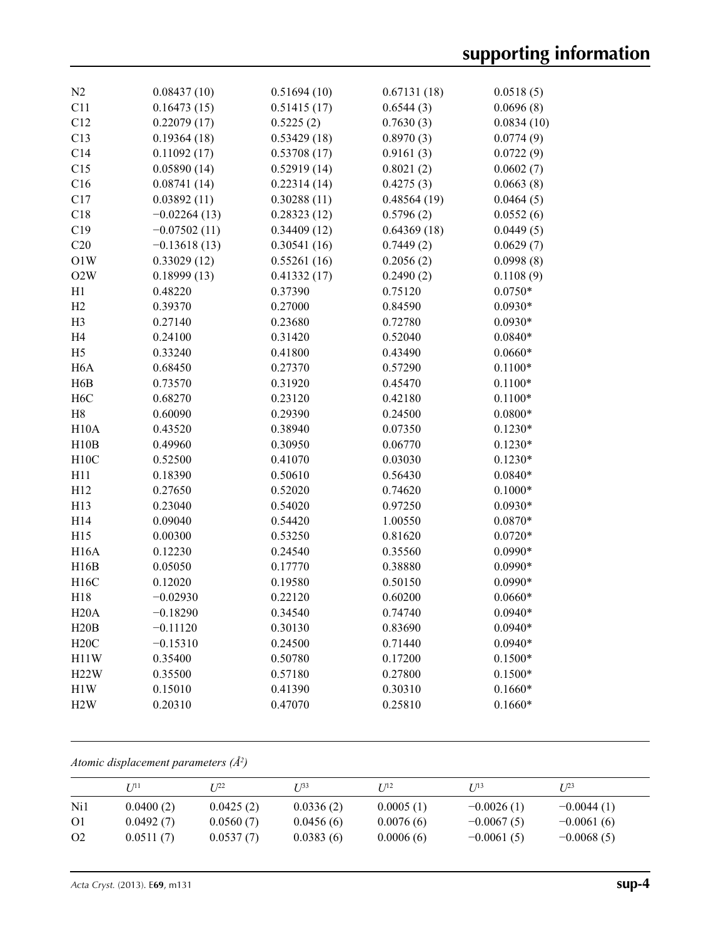| N2               | 0.08437(10)    | 0.51694(10) | 0.67131(18) | 0.0518(5)  |
|------------------|----------------|-------------|-------------|------------|
| C11              | 0.16473(15)    | 0.51415(17) | 0.6544(3)   | 0.0696(8)  |
| C12              | 0.22079(17)    | 0.5225(2)   | 0.7630(3)   | 0.0834(10) |
| C13              | 0.19364(18)    | 0.53429(18) | 0.8970(3)   | 0.0774(9)  |
| C14              | 0.11092(17)    | 0.53708(17) | 0.9161(3)   | 0.0722(9)  |
| C15              | 0.05890(14)    | 0.52919(14) | 0.8021(2)   | 0.0602(7)  |
| C16              | 0.08741(14)    | 0.22314(14) | 0.4275(3)   | 0.0663(8)  |
| C17              | 0.03892(11)    | 0.30288(11) | 0.48564(19) | 0.0464(5)  |
| C18              | $-0.02264(13)$ | 0.28323(12) | 0.5796(2)   | 0.0552(6)  |
| C19              | $-0.07502(11)$ | 0.34409(12) | 0.64369(18) | 0.0449(5)  |
| C20              | $-0.13618(13)$ | 0.30541(16) | 0.7449(2)   | 0.0629(7)  |
| O1W              | 0.33029(12)    | 0.55261(16) | 0.2056(2)   | 0.0998(8)  |
| O2W              | 0.18999(13)    | 0.41332(17) | 0.2490(2)   | 0.1108(9)  |
| H1               | 0.48220        | 0.37390     | 0.75120     | $0.0750*$  |
| H2               | 0.39370        | 0.27000     | 0.84590     | $0.0930*$  |
| H <sub>3</sub>   | 0.27140        | 0.23680     | 0.72780     | $0.0930*$  |
| H <sub>4</sub>   | 0.24100        | 0.31420     | 0.52040     | $0.0840*$  |
| H <sub>5</sub>   | 0.33240        | 0.41800     | 0.43490     | $0.0660*$  |
| H <sub>6</sub> A | 0.68450        | 0.27370     | 0.57290     | $0.1100*$  |
| H6B              | 0.73570        | 0.31920     | 0.45470     | $0.1100*$  |
| H <sub>6</sub> C | 0.68270        | 0.23120     | 0.42180     | $0.1100*$  |
| H8               | 0.60090        | 0.29390     | 0.24500     | $0.0800*$  |
| H10A             | 0.43520        | 0.38940     | 0.07350     | $0.1230*$  |
| H10B             | 0.49960        | 0.30950     | 0.06770     | $0.1230*$  |
| H10C             | 0.52500        | 0.41070     | 0.03030     | $0.1230*$  |
| H11              | 0.18390        | 0.50610     | 0.56430     | $0.0840*$  |
| H12              | 0.27650        | 0.52020     | 0.74620     | $0.1000*$  |
| H13              | 0.23040        | 0.54020     | 0.97250     | $0.0930*$  |
| H14              | 0.09040        | 0.54420     | 1.00550     | $0.0870*$  |
| H15              | 0.00300        | 0.53250     | 0.81620     | $0.0720*$  |
| <b>H16A</b>      | 0.12230        | 0.24540     | 0.35560     | $0.0990*$  |
| H16B             | 0.05050        | 0.17770     | 0.38880     | $0.0990*$  |
| H16C             | 0.12020        | 0.19580     | 0.50150     | $0.0990*$  |
| H18              | $-0.02930$     | 0.22120     | 0.60200     | $0.0660*$  |
| H20A             | $-0.18290$     | 0.34540     | 0.74740     | $0.0940*$  |
| H20B             | $-0.11120$     | 0.30130     | 0.83690     | $0.0940*$  |
| H20C             | $-0.15310$     | 0.24500     | 0.71440     | $0.0940*$  |
| H11W             | 0.35400        | 0.50780     | 0.17200     | $0.1500*$  |
| H22W             | 0.35500        | 0.57180     | 0.27800     | $0.1500*$  |
| H1W              | 0.15010        | 0.41390     | 0.30310     | $0.1660*$  |
| H2W              | 0.20310        | 0.47070     | 0.25810     | $0.1660*$  |
|                  |                |             |             |            |

*Atomic displacement parameters (Å2 )*

|                | 7 71 1    | T 122     | T 133     | I/12      | T 113        | $I^{23}$     |
|----------------|-----------|-----------|-----------|-----------|--------------|--------------|
| Ni1            | 0.0400(2) | 0.0425(2) | 0.0336(2) | 0.0005(1) | $-0.0026(1)$ | $-0.0044(1)$ |
| O <sub>1</sub> | 0.0492(7) | 0.0560(7) | 0.0456(6) | 0.0076(6) | $-0.0067(5)$ | $-0.0061(6)$ |
| O <sub>2</sub> | 0.0511(7) | 0.0537(7) | 0.0383(6) | 0.0006(6) | $-0.0061(5)$ | $-0.0068(5)$ |

*Acta Cryst.* (2013). E**69**, m131 **sup-4**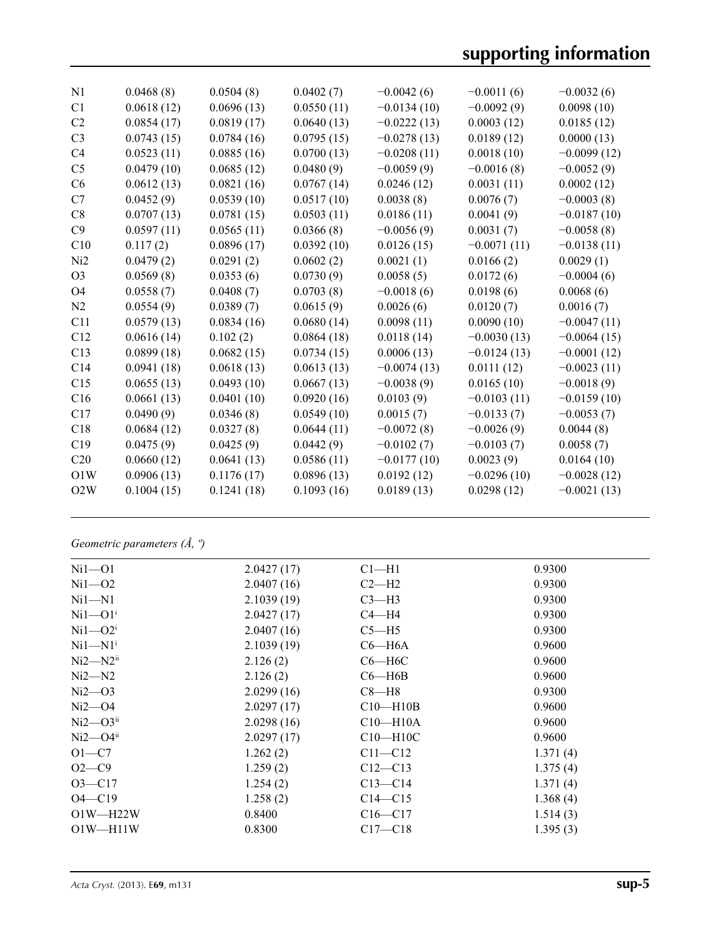| N <sub>1</sub>  | 0.0468(8)  | 0.0504(8)  | 0.0402(7)  | $-0.0042(6)$  | $-0.0011(6)$  | $-0.0032(6)$  |
|-----------------|------------|------------|------------|---------------|---------------|---------------|
| C <sub>1</sub>  | 0.0618(12) | 0.0696(13) | 0.0550(11) | $-0.0134(10)$ | $-0.0092(9)$  | 0.0098(10)    |
| C <sub>2</sub>  | 0.0854(17) | 0.0819(17) | 0.0640(13) | $-0.0222(13)$ | 0.0003(12)    | 0.0185(12)    |
| C <sub>3</sub>  | 0.0743(15) | 0.0784(16) | 0.0795(15) | $-0.0278(13)$ | 0.0189(12)    | 0.0000(13)    |
| C <sub>4</sub>  | 0.0523(11) | 0.0885(16) | 0.0700(13) | $-0.0208(11)$ | 0.0018(10)    | $-0.0099(12)$ |
| C <sub>5</sub>  | 0.0479(10) | 0.0685(12) | 0.0480(9)  | $-0.0059(9)$  | $-0.0016(8)$  | $-0.0052(9)$  |
| C6              | 0.0612(13) | 0.0821(16) | 0.0767(14) | 0.0246(12)    | 0.0031(11)    | 0.0002(12)    |
| C7              | 0.0452(9)  | 0.0539(10) | 0.0517(10) | 0.0038(8)     | 0.0076(7)     | $-0.0003(8)$  |
| C8              | 0.0707(13) | 0.0781(15) | 0.0503(11) | 0.0186(11)    | 0.0041(9)     | $-0.0187(10)$ |
| C9              | 0.0597(11) | 0.0565(11) | 0.0366(8)  | $-0.0056(9)$  | 0.0031(7)     | $-0.0058(8)$  |
| C10             | 0.117(2)   | 0.0896(17) | 0.0392(10) | 0.0126(15)    | $-0.0071(11)$ | $-0.0138(11)$ |
| Ni2             | 0.0479(2)  | 0.0291(2)  | 0.0602(2)  | 0.0021(1)     | 0.0166(2)     | 0.0029(1)     |
| O <sub>3</sub>  | 0.0569(8)  | 0.0353(6)  | 0.0730(9)  | 0.0058(5)     | 0.0172(6)     | $-0.0004(6)$  |
| O <sub>4</sub>  | 0.0558(7)  | 0.0408(7)  | 0.0703(8)  | $-0.0018(6)$  | 0.0198(6)     | 0.0068(6)     |
| N <sub>2</sub>  | 0.0554(9)  | 0.0389(7)  | 0.0615(9)  | 0.0026(6)     | 0.0120(7)     | 0.0016(7)     |
| C11             | 0.0579(13) | 0.0834(16) | 0.0680(14) | 0.0098(11)    | 0.0090(10)    | $-0.0047(11)$ |
| C12             | 0.0616(14) | 0.102(2)   | 0.0864(18) | 0.0118(14)    | $-0.0030(13)$ | $-0.0064(15)$ |
| C13             | 0.0899(18) | 0.0682(15) | 0.0734(15) | 0.0006(13)    | $-0.0124(13)$ | $-0.0001(12)$ |
| C <sub>14</sub> | 0.0941(18) | 0.0618(13) | 0.0613(13) | $-0.0074(13)$ | 0.0111(12)    | $-0.0023(11)$ |
| C15             | 0.0655(13) | 0.0493(10) | 0.0667(13) | $-0.0038(9)$  | 0.0165(10)    | $-0.0018(9)$  |
| C16             | 0.0661(13) | 0.0401(10) | 0.0920(16) | 0.0103(9)     | $-0.0103(11)$ | $-0.0159(10)$ |
| C17             | 0.0490(9)  | 0.0346(8)  | 0.0549(10) | 0.0015(7)     | $-0.0133(7)$  | $-0.0053(7)$  |
| C18             | 0.0684(12) | 0.0327(8)  | 0.0644(11) | $-0.0072(8)$  | $-0.0026(9)$  | 0.0044(8)     |
| C19             | 0.0475(9)  | 0.0425(9)  | 0.0442(9)  | $-0.0102(7)$  | $-0.0103(7)$  | 0.0058(7)     |
| C <sub>20</sub> | 0.0660(12) | 0.0641(13) | 0.0586(11) | $-0.0177(10)$ | 0.0023(9)     | 0.0164(10)    |
| O1W             | 0.0906(13) | 0.1176(17) | 0.0896(13) | 0.0192(12)    | $-0.0296(10)$ | $-0.0028(12)$ |
| O2W             | 0.1004(15) | 0.1241(18) | 0.1093(16) | 0.0189(13)    | 0.0298(12)    | $-0.0021(13)$ |
|                 |            |            |            |               |               |               |

# *Geometric parameters (Å, º)*

| $Ni1-01$       | 2.0427(17) | $Cl-H1$        | 0.9300   |
|----------------|------------|----------------|----------|
| $Ni1 - O2$     | 2.0407(16) | $C2-H2$        | 0.9300   |
| $Ni1 - N1$     | 2.1039(19) | $C3-H3$        | 0.9300   |
| $Ni1 - O1i$    | 2.0427(17) | $C4 - H4$      | 0.9300   |
| $Ni1 - O2i$    | 2.0407(16) | $C5 - H5$      | 0.9300   |
| $Ni1 - N1i$    | 2.1039(19) | $C6 - H6A$     | 0.9600   |
| $Ni2 - N2ii$   | 2.126(2)   | $C6 - H6C$     | 0.9600   |
| $Ni2 - N2$     | 2.126(2)   | $C6 - H6B$     | 0.9600   |
| $Ni2 - O3$     | 2.0299(16) | $C8 - H8$      | 0.9300   |
| $Ni2$ —O4      | 2.0297(17) | $C10-H10B$     | 0.9600   |
| $Ni2$ — $O3ii$ | 2.0298(16) | $C10 - H10A$   | 0.9600   |
| $Ni2$ — $O4ii$ | 2.0297(17) | $C10$ —H $10C$ | 0.9600   |
| $O1-C7$        | 1.262(2)   | $C11 - C12$    | 1.371(4) |
| $O2 - C9$      | 1.259(2)   | $C12 - C13$    | 1.375(4) |
| $O3 - C17$     | 1.254(2)   | $C13 - C14$    | 1.371(4) |
| $O4 - C19$     | 1.258(2)   | $C14 - C15$    | 1.368(4) |
| $O1W - H22W$   | 0.8400     | $C16 - C17$    | 1.514(3) |
| $O1W - H11W$   | 0.8300     | $C17-C18$      | 1.395(3) |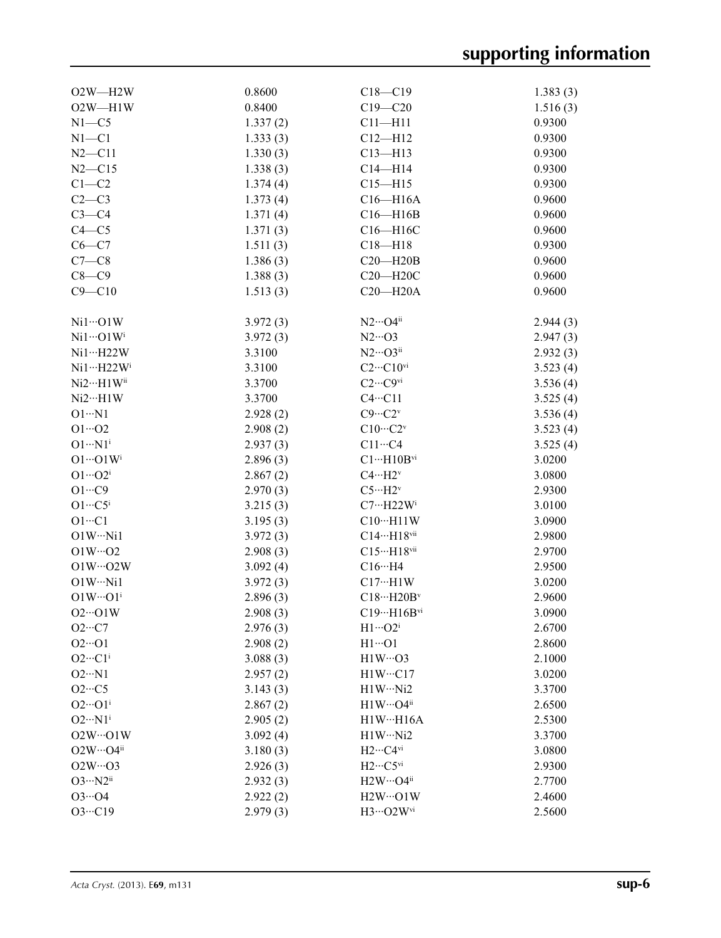| $O2W - H2W$                     | 0.8600   | $C18 - C19$                                | 1.383(3) |
|---------------------------------|----------|--------------------------------------------|----------|
| $O2W - H1W$                     | 0.8400   | $C19 - C20$                                | 1.516(3) |
| $N1 - C5$                       | 1.337(2) | $C11 - H11$                                | 0.9300   |
| $N1 - C1$                       | 1.333(3) | $C12 - H12$                                | 0.9300   |
| $N2 - C11$                      | 1.330(3) | $C13 - H13$                                | 0.9300   |
| $N2 - C15$                      | 1.338(3) | $C14 - H14$                                | 0.9300   |
| $C1-C2$                         | 1.374(4) | $C15 - H15$                                | 0.9300   |
| $C2-C3$                         | 1.373(4) | $C16 - H16A$                               | 0.9600   |
| $C3-C4$                         | 1.371(4) | $C16 - H16B$                               | 0.9600   |
| $C4 - C5$                       | 1.371(3) | C16-H16C                                   | 0.9600   |
| $C6-C7$                         | 1.511(3) | $C18 - H18$                                | 0.9300   |
| $C7-C8$                         | 1.386(3) | $C20 - H20B$                               | 0.9600   |
| $C8 - C9$                       | 1.388(3) | $C20 - H20C$                               | 0.9600   |
| $C9 - C10$                      | 1.513(3) | $C20 - H20A$                               | 0.9600   |
|                                 |          |                                            |          |
| $Ni1\cdots O1W$                 | 3.972(3) | $N2\cdots O4^{ii}$                         | 2.944(3) |
| $Ni1\cdots O1W$ <sup>i</sup>    | 3.972(3) | $N2 \cdots$ O3                             | 2.947(3) |
| Ni1…H22W                        | 3.3100   | $N2\cdots$ O3ii                            | 2.932(3) |
| $Ni1 \cdots H22 W$ <sup>i</sup> | 3.3100   | $C2 \cdots C10$ <sup>vi</sup>              | 3.523(4) |
| Ni2…H1Wii                       | 3.3700   | $C2 \cdots C9$ <sup>vi</sup>               | 3.536(4) |
| $Ni2\cdots H1W$                 | 3.3700   | $C4 \cdot \cdot \cdot C11$                 | 3.525(4) |
| $O1 \cdot N1$                   | 2.928(2) | $C9 \cdots C2^v$                           | 3.536(4) |
| $O1 \cdot 02$                   | 2.908(2) | $C10\cdots C2v$                            | 3.523(4) |
| $O1 \cdot \cdot \cdot N1^i$     | 2.937(3) | $C11 \cdots C4$                            | 3.525(4) |
| $O1 \cdots O1 W^{i}$            | 2.896(3) | $C1 \cdots H10B^{vi}$                      | 3.0200   |
| $O1 \cdots O2^i$                | 2.867(2) | $C4 \cdots H2^v$                           | 3.0800   |
| $O1 \cdots C9$                  | 2.970(3) | $C5 \cdots H2^v$                           | 2.9300   |
| $O1 \cdots C5^i$                | 3.215(3) | $C7 \cdot \cdot \cdot H22W^i$              | 3.0100   |
| $O1 \cdots C1$                  | 3.195(3) | $C10 \cdots H11W$                          | 3.0900   |
| $O1W \cdot \cdot N11$           | 3.972(3) | $C14 \cdots H18$ vii                       | 2.9800   |
| $O1W \cdots O2$                 | 2.908(3) | C15…H18vii                                 | 2.9700   |
| $O1W \cdots O2W$                | 3.092(4) | $C16 \cdot \cdot \cdot H4$                 | 2.9500   |
| $O1W \cdot \cdot N11$           | 3.972(3) | $C17~$ $\cdot$ $H1W$                       | 3.0200   |
| $O1W \cdots O1^i$               | 2.896(3) | $C18 \cdots H20B^v$                        | 2.9600   |
| $O2 \cdot O1 W$                 | 2.908(3) | $C19 \cdot \cdot \cdot H16B$ <sup>vi</sup> | 3.0900   |
| $O2 \cdot \cdot \cdot C7$       | 2.976(3) | $H1 \cdots O2^i$                           | 2.6700   |
| $O2 \cdot O1$                   | 2.908(2) | $H1 \cdots 01$                             | 2.8600   |
| $O2 \cdot \cdot \cdot Cl^1$     | 3.088(3) | $H1W\cdots$ O3                             | 2.1000   |
| $O2 \cdot N1$                   | 2.957(2) | H1WC17                                     | 3.0200   |
| $O2 \cdot \cdot \cdot C5$       | 3.143(3) | $H1W \cdots Ni2$                           | 3.3700   |
| $O2 \cdot \cdot \cdot O1^i$     | 2.867(2) | $H1W\cdots O4$ <sup>ii</sup>               | 2.6500   |
| $O2 \cdot \cdot \cdot N1^i$     | 2.905(2) | H1WH16A                                    | 2.5300   |
| $O2W \cdot O1W$                 | 3.092(4) | $H1W \cdots Ni2$                           | 3.3700   |
| $O2W \cdot O4$ <sup>ii</sup>    | 3.180(3) | $H2\cdots C4$ <sup>vi</sup>                | 3.0800   |
| $O2W \cdot O3$                  | 2.926(3) | $H2\cdots C5$ <sup>vi</sup>                | 2.9300   |
| $O3 \cdot \cdot \cdot N2^{ii}$  | 2.932(3) | $H2W\cdots O4$ <sup>ii</sup>               | 2.7700   |
| $O3 \cdot O4$                   | 2.922(2) | $H2W \cdots O1W$                           | 2.4600   |
| $O3 \cdot \cdot \cdot C19$      | 2.979(3) | H3…O2Wvi                                   | 2.5600   |
|                                 |          |                                            |          |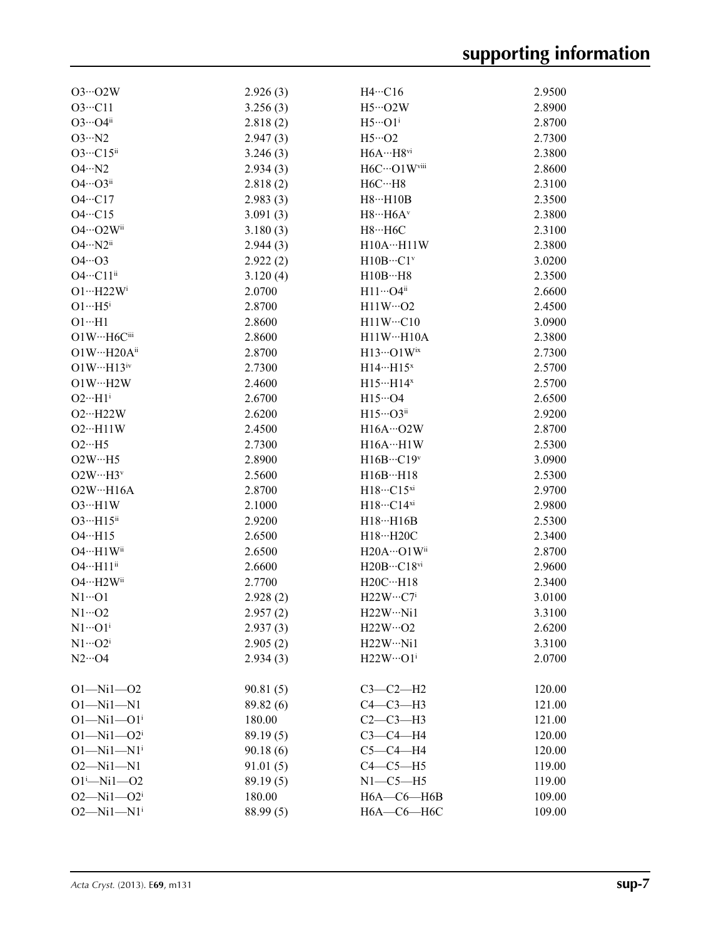| $O3 \cdot O2W$                            | 2.926(3)  | $H4 \cdots C16$                         | 2.9500 |
|-------------------------------------------|-----------|-----------------------------------------|--------|
| $O3 \cdot \cdot \cdot C11$                | 3.256(3)  | $H5\cdot 02W$                           | 2.8900 |
| $O3 \cdots O4$ <sup>ii</sup>              | 2.818(2)  | $H5 \cdot \cdot \cdot O1^1$             | 2.8700 |
| $O3 \cdot N2$                             | 2.947(3)  | $H5\cdot 02$                            | 2.7300 |
| $O3 \cdot \cdot \cdot C15$ <sup>ii</sup>  | 3.246(3)  | $H6A\cdots H8$ vi                       | 2.3800 |
| $O4 \cdot N2$                             | 2.934(3)  | H6C…O1Wviii                             | 2.8600 |
| $O4 \cdots O3$ <sup>ii</sup>              | 2.818(2)  | $H6C \cdots H8$                         | 2.3100 |
| $O4 \cdot \cdot \cdot Cl7$                | 2.983(3)  | $H8 \cdots H10B$                        | 2.3500 |
| $O4 \cdot \cdot \cdot Cl5$                | 3.091(3)  | $H8\cdots H6A^v$                        | 2.3800 |
| O4…O2Wii                                  | 3.180(3)  | $H8\cdot\cdot\cdot H6C$                 | 2.3100 |
| $O4 \cdot \cdot \cdot N2^{ii}$            | 2.944(3)  | H10AH11W                                | 2.3800 |
| $O4 \cdot 03$                             | 2.922(2)  | $H10B\cdots C1v$                        | 3.0200 |
| $O4 \cdot \cdot \cdot C11^{ii}$           | 3.120(4)  | H10BH8                                  | 2.3500 |
| $O1 \cdot \cdot \cdot H22 W^i$            | 2.0700    | $H11\cdots O4$ <sup>ii</sup>            | 2.6600 |
| $O1 \cdot \cdot \cdot H5^i$               | 2.8700    | $H11W \cdots O2$                        | 2.4500 |
| $O1 \cdot H1$                             | 2.8600    | $H11W \cdots C10$                       | 3.0900 |
| O1W…H6Ciii                                | 2.8600    | H11WH10A                                | 2.3800 |
| O1W…H20Aii                                | 2.8700    | $H13\cdots$ O1Wix                       | 2.7300 |
| $O1W \cdot \cdot \cdot H13$ <sup>iv</sup> | 2.7300    | $H14 \cdots H15$ <sup>x</sup>           | 2.5700 |
| $O1W \cdot \cdot \cdot H2W$               | 2.4600    | $H15 \cdots H14^x$                      | 2.5700 |
| $O2 \cdot \cdot \cdot H1^i$               | 2.6700    | $H15\cdot 04$                           | 2.6500 |
| $O2 \cdot \cdot \cdot H22W$               |           | $H15\cdots$ O3 <sup>ii</sup>            |        |
|                                           | 2.6200    |                                         | 2.9200 |
| $O2 \cdot \cdot \cdot H11 W$              | 2.4500    | $H16A\cdots O2W$                        | 2.8700 |
| $O2 \cdot \cdot \cdot$ H5                 | 2.7300    | $H16A \cdots H1W$                       | 2.5300 |
| $O2W \cdot \cdot \cdot H5$                | 2.8900    | $H16B\cdots C19v$                       | 3.0900 |
| $O2W \cdots H3v$                          | 2.5600    | $H16B \cdots H18$                       | 2.5300 |
| $O2W \cdot \cdot \cdot H16A$              | 2.8700    | $H18\cdot\cdot\cdot C15^{xi}$           | 2.9700 |
| $O3 \cdot H1 W$                           | 2.1000    | $H18\cdot\cdot\cdot C14}$ <sup>xi</sup> | 2.9800 |
| $O3 \cdot H15$ <sup>ii</sup>              | 2.9200    | $H18 \cdot \cdot \cdot H16B$            | 2.5300 |
| $O4 \cdot \cdot \cdot H15$                | 2.6500    | H18…H20C                                | 2.3400 |
| O4…H1Wii                                  | 2.6500    | $H20A\cdots O1W$ <sup>ii</sup>          | 2.8700 |
| $O4 \cdot \cdot \cdot H11$ <sup>ii</sup>  | 2.6600    | $H20B\cdots C18$ <sup>vi</sup>          | 2.9600 |
| O4…H2Wii                                  | 2.7700    | $H20C \cdots H18$                       | 2.3400 |
| $N1 \cdots 01$                            | 2.928(2)  | $H22W\cdots C7i$                        | 3.0100 |
| $N1 \cdots O2$                            | 2.957(2)  | H22W…Ni1                                | 3.3100 |
| $N1 \cdots O1^i$                          | 2.937(3)  | $H22W \cdots O2$                        | 2.6200 |
| $N1 \cdots O2^i$                          | 2.905(2)  | H22W…Ni1                                | 3.3100 |
| $N2 \cdots$ O4                            | 2.934(3)  | $H22W\cdots O1i$                        | 2.0700 |
| $O1 - Ni1 - O2$                           | 90.81(5)  | $C3-C2-H2$                              | 120.00 |
| $O1 - Ni1 - N1$                           | 89.82 (6) | $C4-C3-H3$                              | 121.00 |
| $O1 - Ni1 - O1$ <sup>i</sup>              | 180.00    | $C2-C3-H3$                              | 121.00 |
| $O1 - Ni1 - O2^i$                         | 89.19(5)  | $C3-C4-H4$                              | 120.00 |
| $O1 - Ni1 - N1$ <sup>i</sup>              | 90.18(6)  | $C5-C4-H4$                              | 120.00 |
| $O2 - Ni1 - N1$                           | 91.01(5)  | $C4-C5-H5$                              | 119.00 |
| $O1^i$ -Ni $1$ -O2                        | 89.19(5)  | $N1-C5-H5$                              | 119.00 |
| $O2 - Ni1 - O2i$                          | 180.00    | $H6A - C6 - H6B$                        | 109.00 |
| $O2 - Ni1 - N1$ <sup>i</sup>              | 88.99 (5) | Н6А-С6-Н6С                              | 109.00 |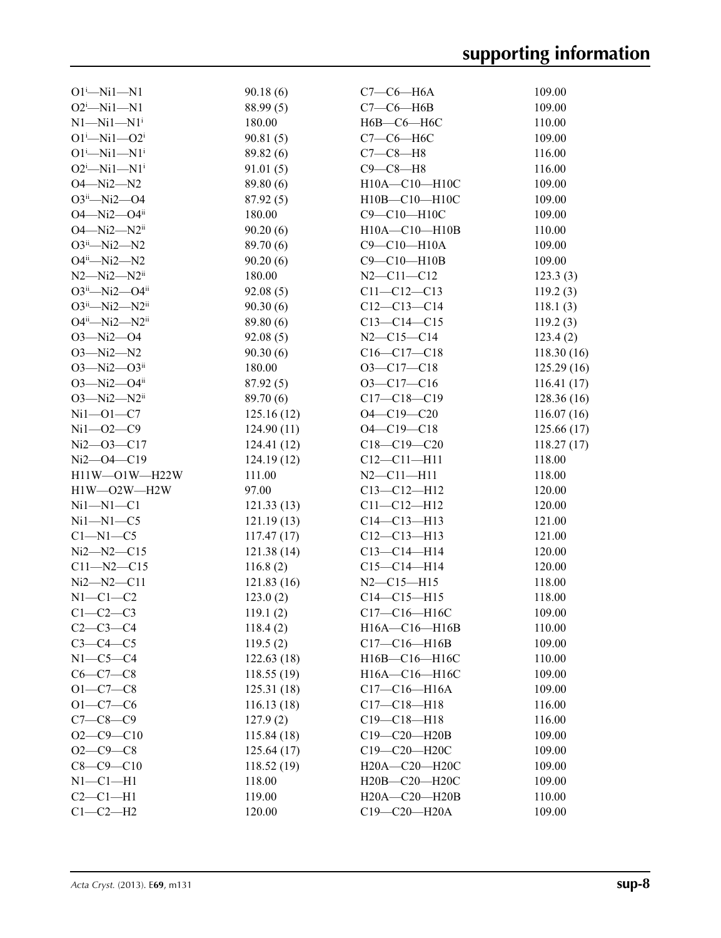| $O1^i$ —Ni $1$ —N1              | 90.18(6)   | $C7-C6-H6A$        | 109.00     |
|---------------------------------|------------|--------------------|------------|
| $O2^i$ -Ni1-N1                  | 88.99 (5)  | $C7-C6-H6B$        | 109.00     |
| $N1 - N11 - N1$ <sup>i</sup>    | 180.00     | Н6В-С6-Н6С         | 110.00     |
| $O1^{i}$ -Ni $1$ - $O2^{i}$     | 90.81(5)   | $C7-C6-H6C$        | 109.00     |
| $O1^{i}$ —Ni $1$ —N $1^{i}$     | 89.82 (6)  | $C7-C8-H8$         | 116.00     |
| $O2^i$ -Ni1-N1 <sup>i</sup>     | 91.01(5)   | $C9 - C8 - H8$     | 116.00     |
| $O4 - Ni2 - N2$                 | 89.80 (6)  | H10A-C10-H10C      | 109.00     |
| $O3^{ii}$ —Ni2—O4               | 87.92(5)   | H10B-C10-H10C      | 109.00     |
| $O4 - Ni2 - O4ii$               | 180.00     | C9-C10-H10C        | 109.00     |
| $O4 - Ni2 - N2$ <sup>ii</sup>   | 90.20(6)   | H10A-C10-H10B      | 110.00     |
| $O3ii$ -Ni2--N2                 | 89.70 (6)  | C9-C10-H10A        | 109.00     |
| $O4^{ii}$ —Ni2—N2               | 90.20(6)   | $C9-C10-H10B$      | 109.00     |
| $N2 - Ni2 - N2$ <sup>ii</sup>   | 180.00     | $N2 - C11 - C12$   | 123.3(3)   |
| $O3^{ii}$ -Ni2- $O4^{ii}$       | 92.08(5)   | $C11 - C12 - C13$  | 119.2(3)   |
| O3ii-Ni2-N2ii                   | 90.30(6)   | $C12-C13-C14$      | 118.1(3)   |
| $O4^{ii}$ —Ni2—N2 <sup>ii</sup> | 89.80 (6)  | $C13-C14-C15$      | 119.2(3)   |
| $O3 - Ni2 - O4$                 | 92.08(5)   | $N2 - C15 - C14$   | 123.4(2)   |
| $O3 - Ni2 - N2$                 | 90.30(6)   | $C16-C17-C18$      | 118.30(16) |
| $O3 - Ni2 - O3ii$               | 180.00     | $O3-C17-C18$       | 125.29(16) |
| $O3 - Ni2 - O4ii$               | 87.92(5)   | $O3 - C17 - C16$   | 116.41(17) |
| $O3 - Ni2 - N2$ <sup>ii</sup>   | 89.70 (6)  | $C17 - C18 - C19$  | 128.36(16) |
| $Ni1 - O1 - C7$                 | 125.16(12) | $O4 - C19 - C20$   | 116.07(16) |
| $Ni1 - O2 - C9$                 | 124.90(11) | $O4 - C19 - C18$   | 125.66(17) |
| $Ni2 - O3 - C17$                | 124.41(12) | $C18 - C19 - C20$  | 118.27(17) |
| $Ni2 - O4 - C19$                | 124.19(12) | $C12 - C11 - H11$  | 118.00     |
| $H11W - O1W - H22W$             | 111.00     | $N2 - C11 - H11$   | 118.00     |
| H1W-O2W-H2W                     | 97.00      | $C13 - C12 - H12$  | 120.00     |
| $Ni1 - N1 - C1$                 | 121.33(13) | $C11 - C12 - H12$  | 120.00     |
| $Ni1 - N1 - C5$                 | 121.19(13) | $C14 - C13 - H13$  | 121.00     |
| $C1-M1-C5$                      | 117.47(17) | $C12-C13-H13$      | 121.00     |
| $Ni2 - N2 - C15$                | 121.38(14) | $C13-C14-H14$      | 120.00     |
| $C11 - N2 - C15$                | 116.8(2)   | $C15-C14-H14$      | 120.00     |
| $Ni2 - N2 - C11$                | 121.83(16) | $N2 - C15 - H15$   | 118.00     |
| $N1-C1-C2$                      | 123.0(2)   | $C14 - C15 - H15$  | 118.00     |
| $C1-C2-C3$                      | 119.1(2)   | $C17 - C16 - H16C$ | 109.00     |
| $C2 - C3 - C4$                  | 118.4(2)   | H16A-C16-H16B      | 110.00     |
| $C3-C4-C5$                      | 119.5(2)   | $C17-C16-H16B$     | 109.00     |
| $N1-C5-C4$                      | 122.63(18) | H16B-C16-H16C      | 110.00     |
| $C6 - C7 - C8$                  | 118.55(19) | H16A-C16-H16C      | 109.00     |
| $O1 - C7 - C8$                  | 125.31(18) | $C17-C16-H16A$     | 109.00     |
| $O1 - C7 - C6$                  | 116.13(18) | $C17 - C18 - H18$  | 116.00     |
| $C7 - C8 - C9$                  | 127.9(2)   | $C19 - C18 - H18$  | 116.00     |
| $O2 - C9 - C10$                 | 115.84(18) | C19-C20-H20B       | 109.00     |
| $O2 - C9 - C8$                  | 125.64(17) | C19-C20-H20C       | 109.00     |
| $C8 - C9 - C10$                 | 118.52(19) | H20A-C20-H20C      | 109.00     |
| $N1-C1-H1$                      | 118.00     | H20B-C20-H20C      | 109.00     |
| $C2-C1-H1$                      | 119.00     | H20A-C20-H20B      | 110.00     |
| $C1-C2-H2$                      | 120.00     | C19-C20-H20A       | 109.00     |